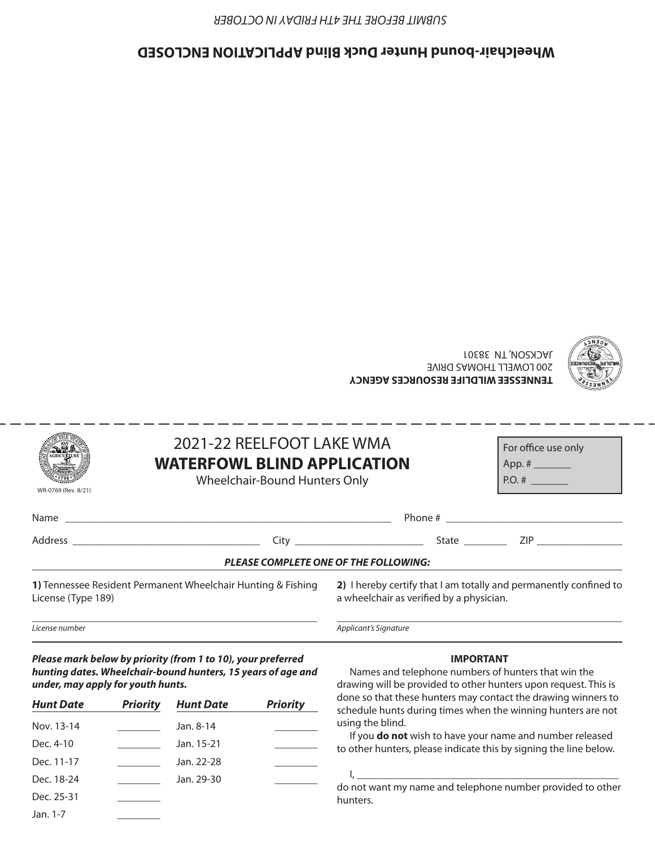### **ENCLOSED Wheelchair-bound Hunter Duck Blind APPLICATION**



| <b>PLEASE COMPLETE ONE OF THE FOLLOWING:</b><br>1) Tennessee Resident Permanent Wheelchair Hunting & Eishing (2) Lhereby certify that Lam totally and nermanently confined to |                                                                                                  |  |                                                                                                                |  |  |  |  |
|-------------------------------------------------------------------------------------------------------------------------------------------------------------------------------|--------------------------------------------------------------------------------------------------|--|----------------------------------------------------------------------------------------------------------------|--|--|--|--|
|                                                                                                                                                                               |                                                                                                  |  | City City State National State State State State State State State State State State State State State State S |  |  |  |  |
|                                                                                                                                                                               |                                                                                                  |  |                                                                                                                |  |  |  |  |
| WR-0769 (Rev. 8/21)                                                                                                                                                           | 2021-22 REELFOOT LAKE WMA<br><b>WATERFOWL BLIND APPLICATION</b><br>Wheelchair-Bound Hunters Only |  | For office use only<br>$P.O. \#$                                                                               |  |  |  |  |

*Applicant's Signature*

**1)** Tennessee Resident Permanent Wheelchair Hunting & Fishing License (Type 189)

\_\_\_\_\_\_\_\_\_\_\_\_\_\_\_\_\_\_\_\_\_\_\_\_\_\_\_\_\_\_\_\_\_\_\_\_\_\_\_\_\_\_\_\_\_\_\_\_\_\_\_\_\_\_

**2)** I hereby certify that I am totally and permanently confined to a wheelchair as verified by a physician.

\_\_\_\_\_\_\_\_\_\_\_\_\_\_\_\_\_\_\_\_\_\_\_\_\_\_\_\_\_\_\_\_\_\_\_\_\_\_\_\_\_\_\_\_\_\_\_\_\_\_\_\_\_\_

**TENNESSEE WILDLIFE RESOURCES AGENCY**

200 LOWELL THOMAS DRIVE

JACKSON, TN 38301

*License number*

*Please mark below by priority (from 1 to 10), your preferred hunting dates. Wheelchair-bound hunters, 15 years of age and under, may apply for youth hunts.*

| <b>Hunt Date</b> | <b>Priority</b> | <b>Hunt Date</b> | <b>Priority</b> |
|------------------|-----------------|------------------|-----------------|
| Nov. 13-14       |                 | Jan. 8-14        |                 |
| Dec. 4-10        |                 | Jan. 15-21       |                 |
| Dec. 11-17       |                 | Jan. 22-28       |                 |
| Dec. 18-24       |                 | Jan. 29-30       |                 |
| Dec. 25-31       |                 |                  |                 |
| Jan. 1-7         |                 |                  |                 |

#### **IMPORTANT**

Names and telephone numbers of hunters that win the drawing will be provided to other hunters upon request. This is done so that these hunters may contact the drawing winners to schedule hunts during times when the winning hunters are not using the blind.

If you **do not** wish to have your name and number released to other hunters, please indicate this by signing the line below.

I, \_\_\_\_\_\_\_\_\_\_\_\_\_\_\_\_\_\_\_\_\_\_\_\_\_\_\_\_\_\_\_\_\_\_\_\_\_\_\_\_\_\_\_\_\_\_\_\_\_ do not want my name and telephone number provided to other hunters.